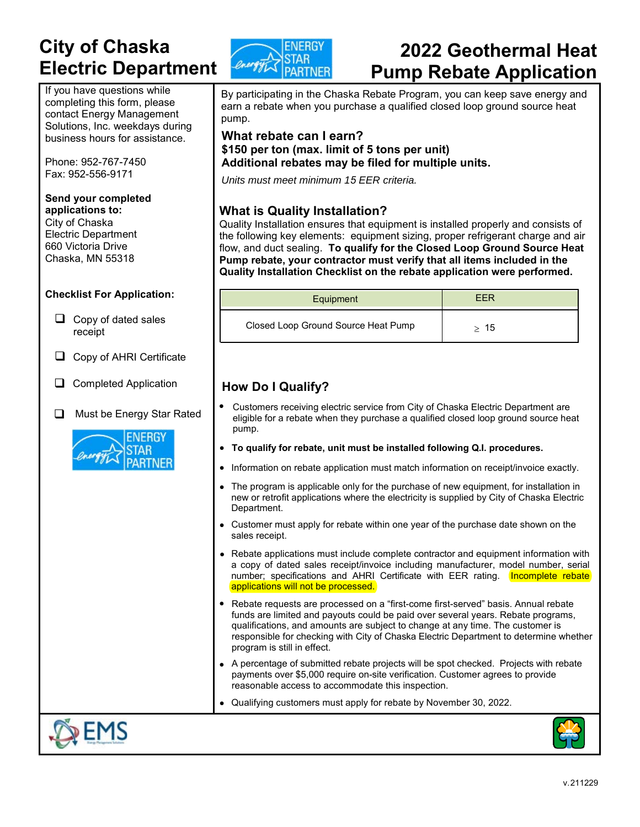## **City of Chaska**  **Electric Department**

If you have questions while completing this form, please contact Energy Management Solutions, Inc. weekdays during business hours for assistance.

Phone: 952-767-7450 Fax: 952-556-9171

#### **Send your completed applications to:**

City of Chaska Electric Department 660 Victoria Drive Chaska, MN 55318

#### **Checklist For Application:**

- $\Box$  Copy of dated sales receipt
- $\Box$  Copy of AHRI Certificate
- Completed Application
- Must be Energy Star Rated





# **2022 Geothermal Heat Pump Rebate Application**

By participating in the Chaska Rebate Program, you can keep save energy and earn a rebate when you purchase a qualified closed loop ground source heat pump.

#### **What rebate can I earn? \$150 per ton (max. limit of 5 tons per unit) Additional rebates may be filed for multiple units.**

*Units must meet minimum 15 EER criteria.*

### **What is Quality Installation?**

Quality Installation ensures that equipment is installed properly and consists of the following key elements: equipment sizing, proper refrigerant charge and air flow, and duct sealing. **To qualify for the Closed Loop Ground Source Heat Pump rebate, your contractor must verify that all items included in the Quality Installation Checklist on the rebate application were performed.**

| Equipment                           | FFR |
|-------------------------------------|-----|
| Closed Loop Ground Source Heat Pump | 15  |

## **How Do I Qualify?**

- Customers receiving electric service from City of Chaska Electric Department are eligible for a rebate when they purchase a qualified closed loop ground source heat pump.
- **To qualify for rebate, unit must be installed following Q.I. procedures.**
- Information on rebate application must match information on receipt/invoice exactly.
- The program is applicable only for the purchase of new equipment, for installation in new or retrofit applications where the electricity is supplied by City of Chaska Electric Department.
- Customer must apply for rebate within one year of the purchase date shown on the sales receipt.
- Rebate applications must include complete contractor and equipment information with a copy of dated sales receipt/invoice including manufacturer, model number, serial number; specifications and AHRI Certificate with EER rating. **Incomplete rebate** applications will not be processed.
- Rebate requests are processed on a "first-come first-served" basis. Annual rebate funds are limited and payouts could be paid over several years. Rebate programs, qualifications, and amounts are subject to change at any time. The customer is responsible for checking with City of Chaska Electric Department to determine whether program is still in effect.
- A percentage of submitted rebate projects will be spot checked. Projects with rebate payments over \$5,000 require on-site verification. Customer agrees to provide reasonable access to accommodate this inspection.
- Qualifying customers must apply for rebate by November 30, 2022.